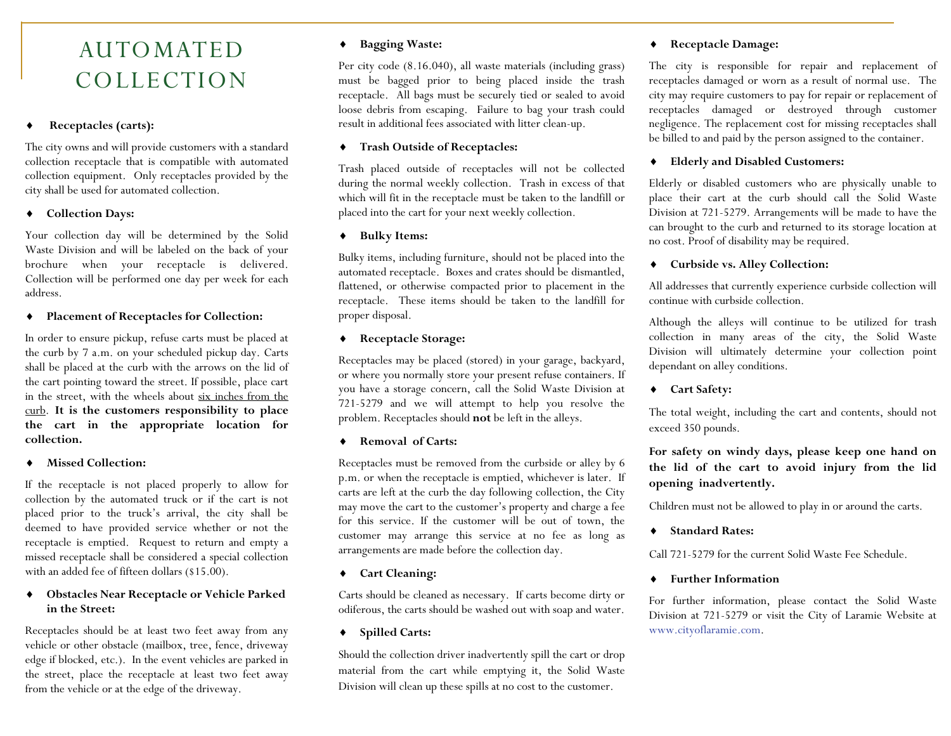# AUTOMATED COLLECTION

#### ٠ **Receptacles (carts):**

The city owns and will provide customers with a standard collection receptacle that is compatible with automated collection equipment. Only receptacles provided by the city shall be used for automated collection.

## **Collection Days:**

Your collection day will be determined by the Solid Waste Division and will be labeled on the back of your brochure when your receptacle is delivered. Collection will be performed one day per week for each address.

### **Placement of Receptacles for Collection:**

In order to ensure pickup, refuse carts must be placed at the curb by 7 a.m. on your scheduled pickup day. Carts shall be placed at the curb with the arrows on the lid of the cart pointing toward the street. If possible, place cart in the street, with the wheels about six inches from the curb. **It is the customers responsibility to place the cart in the appropriate location for collection.**

#### ٠ **Missed Collection:**

If the receptacle is not placed properly to allow for collection by the automated truck or if the cart is not <sup>p</sup>laced prior to the truck's arrival, the city shall be deemed to have provided service whether or not the receptacle is emptied. Request to return and empty a missed receptacle shall be considered a special collection with an added fee of fifteen dollars (\$15.00).

#### $\bullet$  **Obstacles Near Receptacle or Vehicle Parked in the Street:**

Receptacles should be at least two feet away from any vehicle or other obstacle (mailbox, tree, fence, driveway edge if blocked, etc.). In the event vehicles are parked in the street, place the receptacle at least two feet away from the vehicle or at the edge of the driveway.

#### **Bagging Waste:**

Per city code (8.16.040), all waste materials (including grass) must be bagged prior to being placed inside the trash receptacle. All bags must be securely tied or sealed to avoid loose debris from escaping. Failure to bag your trash could result in additional fees associated with litter clean-up.

### **Trash Outside of Receptacles:**

Trash placed outside of receptacles will not be collected during the normal weekly collection. Trash in excess of that which will fit in the receptacle must be taken to the landfill or <sup>p</sup>laced into the cart for your next weekly collection.

#### **Bulky Items:**

Bulky items, including furniture, should not be placed into the automated receptacle. Boxes and crates should be dismantled, flattened, or otherwise compacted prior to placement in the receptacle. These items should be taken to the landfill for proper disposal.

### **Receptacle Storage:**

Receptacles may be placed (stored) in your garage, backyard, or where you normally store your present refuse containers. If you have a storage concern, call the Solid Waste Division at 721-5279 and we will attempt to help you resolve the problem. Receptacles should **not** be left in the alleys.

#### **Removal of Carts:**

Receptacles must be removed from the curbside or alley by 6 p.m. or when the receptacle is emptied, whichever is later. If carts are left at the curb the day following collection, the City may move the cart to the customer's property and charge a fee for this service. If the customer will be out of town, the customer may arrange this service at no fee as long as arrangements are made before the collection day.

### **Cart Cleaning:**

Carts should be cleaned as necessary. If carts become dirty or odiferous, the carts should be washed out with soap and water.

#### **Spilled Carts:**

Should the collection driver inadvertently spill the cart or drop material from the cart while emptying it, the Solid Waste Division will clean up these spills at no cost to the customer.

#### **Receptacle Damage:**

The city is responsible for repair and replacement of receptacles damaged or worn as a result of normal use. The city may require customers to pay for repair or replacement of receptacles damaged or destroyed through customer negligence. The replacement cost for missing receptacles shall be billed to and paid by the person assigned to the container.

### **Elderly and Disabled Customers:**

Elderly or disabled customers who are physically unable to place their cart at the curb should call the Solid Waste Division at 721-5279. Arrangements will be made to have the can brought to the curb and returned to its storage location at no cost. Proof of disability may be required.

### **Curbside vs. Alley Collection:**

All addresses that currently experience curbside collection will continue with curbside collection.

Although the alleys will continue to be utilized for trash collection in many areas of the city, the Solid Waste Division will ultimately determine your collection point dependant on alley conditions.

### **Cart Safety:**

The total weight, including the cart and contents, should not exceed 350 pounds.

**For safety on windy days, please keep one hand on the lid of the cart to avoid injury from the lid opening inadvertently.** 

Children must not be allowed to play in or around the carts.

 $\bullet$ **Standard Rates:** 

Call 721-5279 for the current Solid Waste Fee Schedule.

 $\bullet$ **Further Information**

For further information, please contact the Solid Waste Division at 721-5279 or visit the City of Laramie Website at www.cityoflaramie.com.